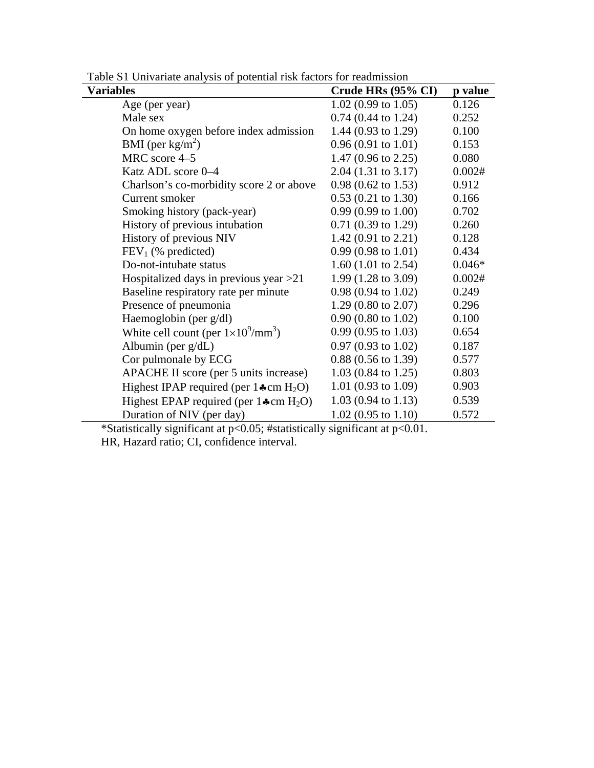| <b>Variables</b>                                    | Crude HRs (95% CI)             | p value  |
|-----------------------------------------------------|--------------------------------|----------|
| Age (per year)                                      | $1.02(0.99 \text{ to } 1.05)$  | 0.126    |
| Male sex                                            | $0.74$ (0.44 to 1.24)          | 0.252    |
| On home oxygen before index admission               | 1.44 $(0.93 \text{ to } 1.29)$ | 0.100    |
| BMI (per $\text{kg/m}^2$ )                          | $0.96(0.91 \text{ to } 1.01)$  | 0.153    |
| MRC score 4-5                                       | 1.47 $(0.96 \text{ to } 2.25)$ | 0.080    |
| Katz ADL score 0-4                                  | $2.04$ (1.31 to 3.17)          | 0.002#   |
| Charlson's co-morbidity score 2 or above            | $0.98$ (0.62 to 1.53)          | 0.912    |
| Current smoker                                      | $0.53(0.21 \text{ to } 1.30)$  | 0.166    |
| Smoking history (pack-year)                         | $0.99(0.99 \text{ to } 1.00)$  | 0.702    |
| History of previous intubation                      | $0.71(0.39 \text{ to } 1.29)$  | 0.260    |
| History of previous NIV                             | 1.42 $(0.91 \text{ to } 2.21)$ | 0.128    |
| $FEV1$ (% predicted)                                | $0.99(0.98 \text{ to } 1.01)$  | 0.434    |
| Do-not-intubate status                              | 1.60 $(1.01 \text{ to } 2.54)$ | $0.046*$ |
| Hospitalized days in previous year $>21$            | 1.99 $(1.28 \text{ to } 3.09)$ | 0.002#   |
| Baseline respiratory rate per minute                | $0.98(0.94 \text{ to } 1.02)$  | 0.249    |
| Presence of pneumonia                               | 1.29 (0.80 to $2.07$ )         | 0.296    |
| Haemoglobin (per g/dl)                              | $0.90(0.80 \text{ to } 1.02)$  | 0.100    |
| White cell count (per $1\times10^{9}/\text{mm}^3$ ) | $0.99(0.95 \text{ to } 1.03)$  | 0.654    |
| Albumin (per $g/dL$ )                               | $0.97(0.93 \text{ to } 1.02)$  | 0.187    |
| Cor pulmonale by ECG                                | $0.88$ $(0.56$ to 1.39)        | 0.577    |
| APACHE II score (per 5 units increase)              | $1.03(0.84 \text{ to } 1.25)$  | 0.803    |
| Highest IPAP required (per $1\text{-cm }H_2O$ )     | 1.01 (0.93 to 1.09)            | 0.903    |
| Highest EPAP required (per $1\text{#cm H}_2O$ )     | $1.03(0.94 \text{ to } 1.13)$  | 0.539    |
| Duration of NIV (per day)                           | $1.02$ (0.95 to 1.10)          | 0.572    |

Table S1 Univariate analysis of potential risk factors for readmission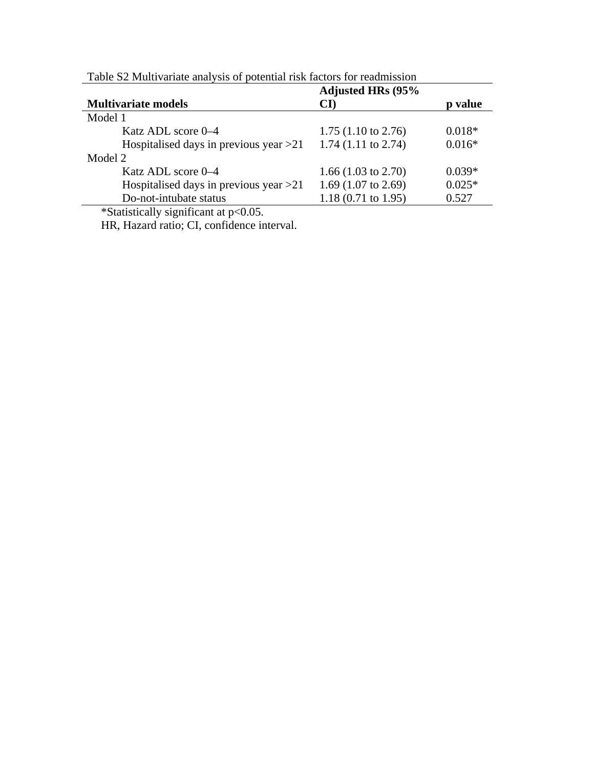|                                          | <b>Adjusted HRs (95%</b>       |          |
|------------------------------------------|--------------------------------|----------|
| <b>Multivariate models</b>               | $\mathbf{C}\mathbf{D}$         | p value  |
| Model 1                                  |                                |          |
| Katz ADL score 0–4                       | 1.75 $(1.10 \text{ to } 2.76)$ | $0.018*$ |
| Hospitalised days in previous year $>21$ | $1.74$ (1.11 to 2.74)          | $0.016*$ |
| Model 2                                  |                                |          |
| Katz ADL score 0–4                       | 1.66 $(1.03 \text{ to } 2.70)$ | $0.039*$ |
| Hospitalised days in previous year $>21$ | 1.69 $(1.07 \text{ to } 2.69)$ | $0.025*$ |
| Do-not-intubate status                   | $1.18(0.71 \text{ to } 1.95)$  | 0.527    |

Table S2 Multivariate analysis of potential risk factors for readmission

\*Statistically significant at p<0.05.

HR, Hazard ratio; CI, confidence interval.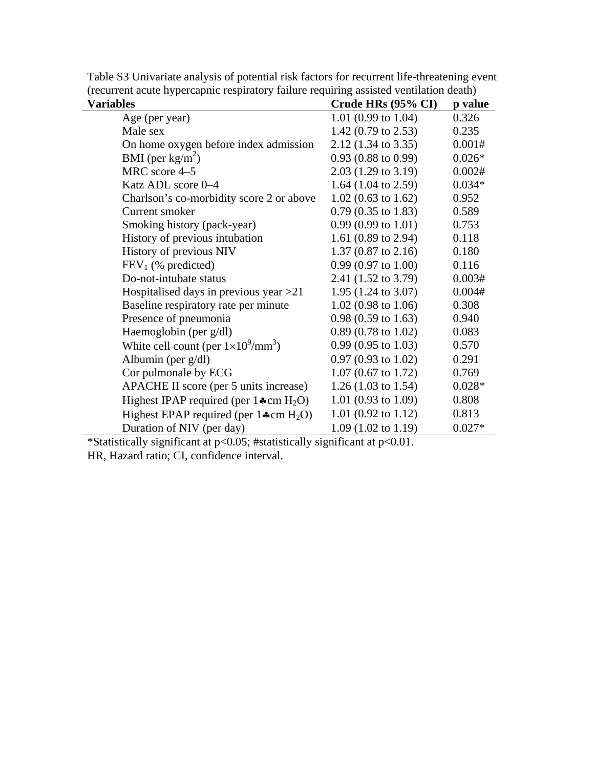| <b>Variables</b>                                            | Crude HRs (95% CI)             | p value  |
|-------------------------------------------------------------|--------------------------------|----------|
| Age (per year)                                              | 1.01 (0.99 to 1.04)            | 0.326    |
| Male sex                                                    | 1.42 (0.79 to 2.53)            | 0.235    |
| On home oxygen before index admission                       | 2.12 (1.34 to 3.35)            | 0.001#   |
| BMI (per $\text{kg/m}^2$ )                                  | $0.93(0.88 \text{ to } 0.99)$  | $0.026*$ |
| MRC score 4-5                                               | 2.03 (1.29 to 3.19)            | 0.002#   |
| Katz ADL score 0-4                                          | 1.64 $(1.04 \text{ to } 2.59)$ | $0.034*$ |
| Charlson's co-morbidity score 2 or above                    | $1.02$ (0.63 to 1.62)          | 0.952    |
| Current smoker                                              | $0.79(0.35 \text{ to } 1.83)$  | 0.589    |
| Smoking history (pack-year)                                 | $0.99(0.99 \text{ to } 1.01)$  | 0.753    |
| History of previous intubation                              | 1.61 (0.89 to 2.94)            | 0.118    |
| History of previous NIV                                     | $1.37(0.87 \text{ to } 2.16)$  | 0.180    |
| $FEV1$ (% predicted)                                        | $0.99(0.97 \text{ to } 1.00)$  | 0.116    |
| Do-not-intubate status                                      | 2.41 (1.52 to 3.79)            | 0.003#   |
| Hospitalised days in previous year $>21$                    | 1.95 $(1.24 \text{ to } 3.07)$ | 0.004#   |
| Baseline respiratory rate per minute                        | $1.02$ (0.98 to 1.06)          | 0.308    |
| Presence of pneumonia                                       | $0.98(0.59 \text{ to } 1.63)$  | 0.940    |
| Haemoglobin (per g/dl)                                      | $0.89(0.78 \text{ to } 1.02)$  | 0.083    |
| White cell count (per $1\times10^9/\text{mm}^3$ )           | $0.99(0.95 \text{ to } 1.03)$  | 0.570    |
| Albumin (per $g/dl$ )                                       | $0.97(0.93 \text{ to } 1.02)$  | 0.291    |
| Cor pulmonale by ECG                                        | $1.07$ (0.67 to 1.72)          | 0.769    |
| APACHE II score (per 5 units increase)                      | 1.26 $(1.03 \text{ to } 1.54)$ | $0.028*$ |
| Highest IPAP required (per $1\text{A}$ cm H <sub>2</sub> O) | 1.01 (0.93 to 1.09)            | 0.808    |
| Highest EPAP required (per $1\text{Acm}$ H <sub>2</sub> O)  | 1.01 (0.92 to 1.12)            | 0.813    |
| Duration of NIV (per day)                                   | $1.09(1.02 \text{ to } 1.19)$  | $0.027*$ |

Table S3 Univariate analysis of potential risk factors for recurrent life-threatening event (recurrent acute hypercapnic respiratory failure requiring assisted ventilation death)<br>Variables<br>Crude HRs (95% CI) p value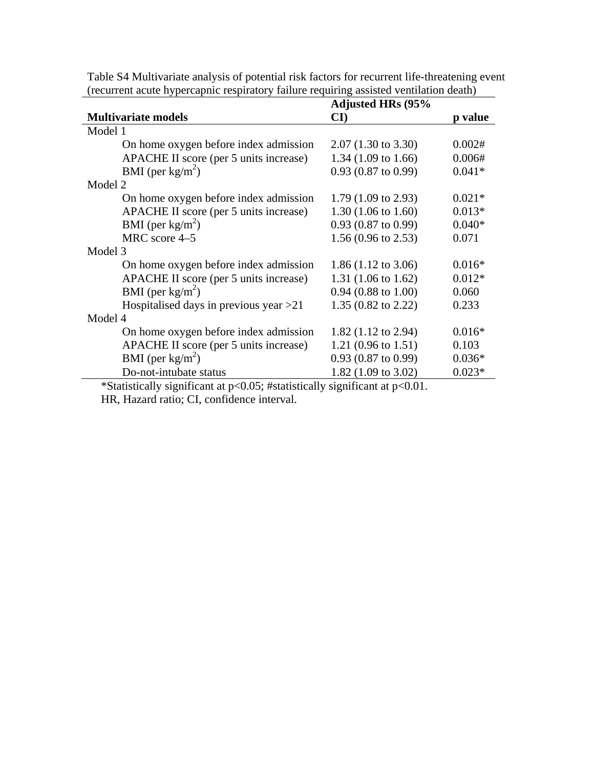|                                          | <b>Adjusted HRs (95%</b>       |          |
|------------------------------------------|--------------------------------|----------|
| <b>Multivariate models</b>               | $\mathbf{C}\mathbf{I}$         | p value  |
| Model 1                                  |                                |          |
| On home oxygen before index admission    | $2.07(1.30 \text{ to } 3.30)$  | 0.002#   |
| APACHE II score (per 5 units increase)   | 1.34 $(1.09 \text{ to } 1.66)$ | 0.006#   |
| BMI (per $\text{kg/m}^2$ )               | $0.93$ (0.87 to 0.99)          | $0.041*$ |
| Model 2                                  |                                |          |
| On home oxygen before index admission    | 1.79 $(1.09 \text{ to } 2.93)$ | $0.021*$ |
| APACHE II score (per 5 units increase)   | $1.30(1.06 \text{ to } 1.60)$  | $0.013*$ |
| BMI (per $\text{kg/m}^2$ )               | $0.93$ (0.87 to 0.99)          | $0.040*$ |
| MRC score 4-5                            | 1.56 $(0.96 \text{ to } 2.53)$ | 0.071    |
| Model 3                                  |                                |          |
| On home oxygen before index admission    | 1.86 $(1.12 \text{ to } 3.06)$ | $0.016*$ |
| APACHE II score (per 5 units increase)   | 1.31 $(1.06 \text{ to } 1.62)$ | $0.012*$ |
| BMI (per $\text{kg/m}^2$ )               | $0.94$ (0.88 to 1.00)          | 0.060    |
| Hospitalised days in previous year $>21$ | 1.35 $(0.82 \text{ to } 2.22)$ | 0.233    |
| Model 4                                  |                                |          |
| On home oxygen before index admission    | 1.82 $(1.12 \text{ to } 2.94)$ | $0.016*$ |
| APACHE II score (per 5 units increase)   | 1.21 $(0.96 \text{ to } 1.51)$ | 0.103    |
| BMI (per $\text{kg/m}^2$ )               | $0.93$ (0.87 to 0.99)          | $0.036*$ |
| Do-not-intubate status                   | 1.82 $(1.09 \text{ to } 3.02)$ | $0.023*$ |

Table S4 Multivariate analysis of potential risk factors for recurrent life-threatening event (recurrent acute hypercapnic respiratory failure requiring assisted ventilation death)

\*Statistically significant at p<0.05; #statistically significant at p<0.01.

HR, Hazard ratio; CI, confidence interval.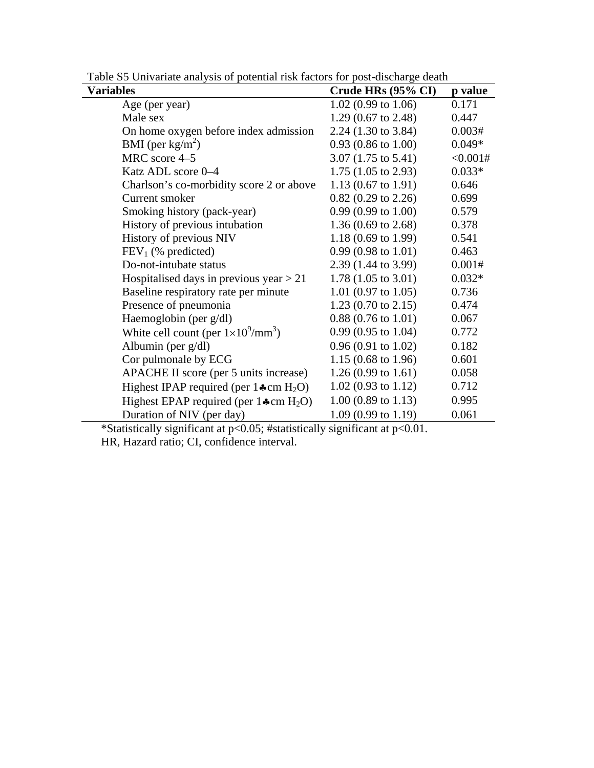| Crude HRs (95% CI)             | p value  |
|--------------------------------|----------|
| $1.02(0.99 \text{ to } 1.06)$  | 0.171    |
| 1.29 (0.67 to 2.48)            | 0.447    |
| 2.24 (1.30 to 3.84)            | 0.003#   |
| $0.93(0.86 \text{ to } 1.00)$  | $0.049*$ |
| $3.07(1.75 \text{ to } 5.41)$  | <0.001#  |
| 1.75 $(1.05 \text{ to } 2.93)$ | $0.033*$ |
| 1.13 $(0.67 \text{ to } 1.91)$ | 0.646    |
| $0.82$ (0.29 to 2.26)          | 0.699    |
| $0.99(0.99)$ to $1.00$ )       | 0.579    |
| 1.36 $(0.69 \text{ to } 2.68)$ | 0.378    |
| 1.18 $(0.69 \text{ to } 1.99)$ | 0.541    |
| $0.99(0.98 \text{ to } 1.01)$  | 0.463    |
| 2.39 (1.44 to 3.99)            | 0.001#   |
| $1.78(1.05 \text{ to } 3.01)$  | $0.032*$ |
| 1.01 (0.97 to 1.05)            | 0.736    |
| 1.23 $(0.70 \text{ to } 2.15)$ | 0.474    |
| $0.88(0.76 \text{ to } 1.01)$  | 0.067    |
| $0.99(0.95 \text{ to } 1.04)$  | 0.772    |
| $0.96(0.91 \text{ to } 1.02)$  | 0.182    |
| 1.15 $(0.68 \text{ to } 1.96)$ | 0.601    |
| 1.26 $(0.99 \text{ to } 1.61)$ | 0.058    |
| $1.02(0.93 \text{ to } 1.12)$  | 0.712    |
| $1.00$ (0.89 to 1.13)          | 0.995    |
| 1.09 (0.99 to 1.19)            | 0.061    |
|                                |          |

Table S5 Univariate analysis of potential risk factors for post-discharge death